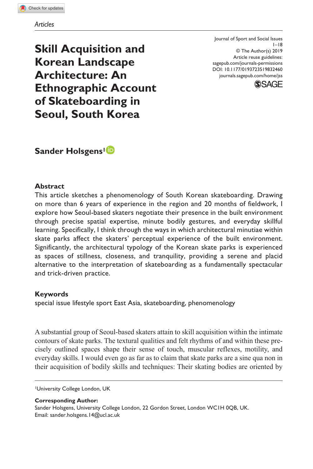**Skill Acquisition and Korean Landscape Architecture: An Ethnographic Account of Skateboarding in Seoul, South Korea**

DOI: 10.1177/0193723519832460 Journal of Sport and Social Issues  $1 - 18$ © The Author(s) 2019 Article reuse guidelines: [sagepub.com/journals-permissions](https://us.sagepub.com/en-us/journals-permissions) [journals.sagepub.com/home/jss](https://journals.sagepub.com/home/jss)



**Sander Holsgens<sup>1</sup><sup>D</sup>** 

### **Abstract**

This article sketches a phenomenology of South Korean skateboarding. Drawing on more than 6 years of experience in the region and 20 months of fieldwork, I explore how Seoul-based skaters negotiate their presence in the built environment through precise spatial expertise, minute bodily gestures, and everyday skillful learning. Specifically, I think through the ways in which architectural minutiae within skate parks affect the skaters' perceptual experience of the built environment. Significantly, the architectural typology of the Korean skate parks is experienced as spaces of stillness, closeness, and tranquility, providing a serene and placid alternative to the interpretation of skateboarding as a fundamentally spectacular and trick-driven practice.

#### **Keywords**

special issue lifestyle sport East Asia, skateboarding, phenomenology

A substantial group of Seoul-based skaters attain to skill acquisition within the intimate contours of skate parks. The textural qualities and felt rhythms of and within these precisely outlined spaces shape their sense of touch, muscular reflexes, motility, and everyday skills. I would even go as far as to claim that skate parks are a sine qua non in their acquisition of bodily skills and techniques: Their skating bodies are oriented by

1University College London, UK

**Corresponding Author:** Sander Holsgens, University College London, 22 Gordon Street, London WC1H 0QB, UK. Email: [sander.holsgens.14@ucl.ac.uk](mailto:sander.holsgens.14@ucl.ac.uk)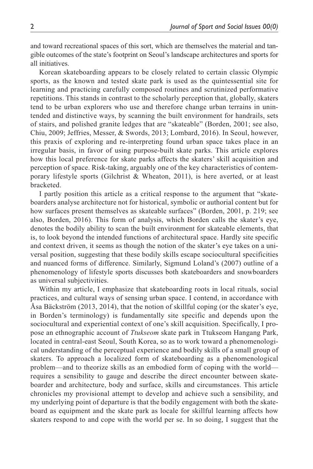and toward recreational spaces of this sort, which are themselves the material and tangible outcomes of the state's footprint on Seoul's landscape architectures and sports for all initiatives.

Korean skateboarding appears to be closely related to certain classic Olympic sports, as the known and tested skate park is used as the quintessential site for learning and practicing carefully composed routines and scrutinized performative repetitions. This stands in contrast to the scholarly perception that, globally, skaters tend to be urban explorers who use and therefore change urban terrains in unintended and distinctive ways, by scanning the built environment for handrails, sets of stairs, and polished granite ledges that are "skateable" (Borden, 2001; see also, Chiu, 2009; Jeffries, Messer, & Swords, 2013; Lombard, 2016). In Seoul, however, this praxis of exploring and re-interpreting found urban space takes place in an irregular basis, in favor of using purpose-built skate parks. This article explores how this local preference for skate parks affects the skaters' skill acquisition and perception of space. Risk-taking, arguably one of the key characteristics of contemporary lifestyle sports (Gilchrist & Wheaton, 2011), is here averted, or at least bracketed.

I partly position this article as a critical response to the argument that "skateboarders analyse architecture not for historical, symbolic or authorial content but for how surfaces present themselves as skateable surfaces" (Borden, 2001, p. 219; see also, Borden, 2016). This form of analysis, which Borden calls the skater's eye, denotes the bodily ability to scan the built environment for skateable elements, that is, to look beyond the intended functions of architectural space. Hardly site specific and context driven, it seems as though the notion of the skater's eye takes on a universal position, suggesting that these bodily skills escape sociocultural specificities and nuanced forms of difference. Similarly, Sigmund Loland's (2007) outline of a phenomenology of lifestyle sports discusses both skateboarders and snowboarders as universal subjectivities.

Within my article, I emphasize that skateboarding roots in local rituals, social practices, and cultural ways of sensing urban space. I contend, in accordance with Åsa Bäckström (2013, 2014), that the notion of skillful coping (or the skater's eye, in Borden's terminology) is fundamentally site specific and depends upon the sociocultural and experiential context of one's skill acquisition. Specifically, I propose an ethnographic account of *Ttukseom* skate park in Ttukseom Hangang Park, located in central-east Seoul, South Korea, so as to work toward a phenomenological understanding of the perceptual experience and bodily skills of a small group of skaters. To approach a localized form of skateboarding as a phenomenological problem—and to theorize skills as an embodied form of coping with the world requires a sensibility to gauge and describe the direct encounter between skateboarder and architecture, body and surface, skills and circumstances. This article chronicles my provisional attempt to develop and achieve such a sensibility, and my underlying point of departure is that the bodily engagement with both the skateboard as equipment and the skate park as locale for skillful learning affects how skaters respond to and cope with the world per se. In so doing, I suggest that the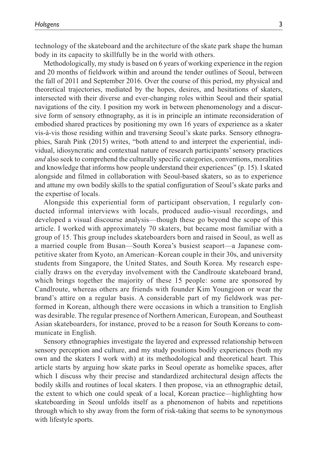technology of the skateboard and the architecture of the skate park shape the human body in its capacity to skillfully be in the world with others.

Methodologically, my study is based on 6 years of working experience in the region and 20 months of fieldwork within and around the tender outlines of Seoul, between the fall of 2011 and September 2016. Over the course of this period, my physical and theoretical trajectories, mediated by the hopes, desires, and hesitations of skaters, intersected with their diverse and ever-changing roles within Seoul and their spatial navigations of the city. I position my work in between phenomenology and a discursive form of sensory ethnography, as it is in principle an intimate reconsideration of embodied shared practices by positioning my own 16 years of experience as a skater vis-à-vis those residing within and traversing Seoul's skate parks. Sensory ethnographies, Sarah Pink (2015) writes, "both attend to and interpret the experiential, individual, idiosyncratic and contextual nature of research participants' sensory practices *and* also seek to comprehend the culturally specific categories, conventions, moralities and knowledge that informs how people understand their experiences" (p. 15). I skated alongside and filmed in collaboration with Seoul-based skaters, so as to experience and attune my own bodily skills to the spatial configuration of Seoul's skate parks and the expertise of locals.

Alongside this experiential form of participant observation, I regularly conducted informal interviews with locals, produced audio-visual recordings, and developed a visual discourse analysis—though these go beyond the scope of this article. I worked with approximately 70 skaters, but became most familiar with a group of 15. This group includes skateboarders born and raised in Seoul, as well as a married couple from Busan—South Korea's busiest seaport—a Japanese competitive skater from Kyoto, an American–Korean couple in their 30s, and university students from Singapore, the United States, and South Korea. My research especially draws on the everyday involvement with the Candlroute skateboard brand, which brings together the majority of these 15 people: some are sponsored by Candlroute, whereas others are friends with founder Kim Youngjoon or wear the brand's attire on a regular basis. A considerable part of my fieldwork was performed in Korean, although there were occasions in which a transition to English was desirable. The regular presence of Northern American, European, and Southeast Asian skateboarders, for instance, proved to be a reason for South Koreans to communicate in English.

Sensory ethnographies investigate the layered and expressed relationship between sensory perception and culture, and my study positions bodily experiences (both my own and the skaters I work with) at its methodological and theoretical heart. This article starts by arguing how skate parks in Seoul operate as homelike spaces, after which I discuss why their precise and standardized architectural design affects the bodily skills and routines of local skaters. I then propose, via an ethnographic detail, the extent to which one could speak of a local, Korean practice—highlighting how skateboarding in Seoul unfolds itself as a phenomenon of habits and repetitions through which to shy away from the form of risk-taking that seems to be synonymous with lifestyle sports.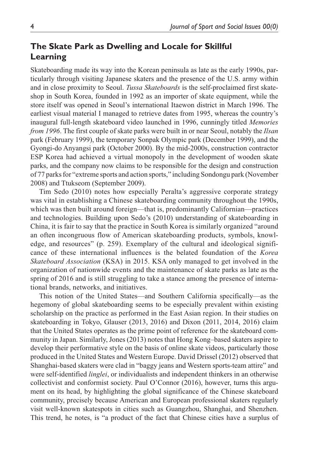# **The Skate Park as Dwelling and Locale for Skillful Learning**

Skateboarding made its way into the Korean peninsula as late as the early 1990s, particularly through visiting Japanese skaters and the presence of the U.S. army within and in close proximity to Seoul. *Tussa Skateboards* is the self-proclaimed first skateshop in South Korea, founded in 1992 as an importer of skate equipment, while the store itself was opened in Seoul's international Itaewon district in March 1996. The earliest visual material I managed to retrieve dates from 1995, whereas the country's inaugural full-length skateboard video launched in 1996, cunningly titled *Memories from 1996*. The first couple of skate parks were built in or near Seoul, notably the *Ilsan* park (February 1999), the temporary Sonpak Olympic park (December 1999), and the Gyongi-do Anyangsi park (October 2000). By the mid-2000s, construction contractor ESP Korea had achieved a virtual monopoly in the development of wooden skate parks, and the company now claims to be responsible for the design and construction of 77 parks for "extreme sports and action sports," including Sondongu park (November 2008) and Ttukseom (September 2009).

Tim Sedo (2010) notes how especially Peralta's aggressive corporate strategy was vital in establishing a Chinese skateboarding community throughout the 1990s, which was then built around foreign—that is, predominantly Californian—practices and technologies. Building upon Sedo's (2010) understanding of skateboarding in China, it is fair to say that the practice in South Korea is similarly organized "around an often incongruous flow of American skateboarding products, symbols, knowledge, and resources" (p. 259). Exemplary of the cultural and ideological significance of these international influences is the belated foundation of the *Korea Skateboard Association* (KSA) in 2015. KSA only managed to get involved in the organization of nationwide events and the maintenance of skate parks as late as the spring of 2016 and is still struggling to take a stance among the presence of international brands, networks, and initiatives.

This notion of the United States—and Southern California specifically—as the hegemony of global skateboarding seems to be especially prevalent within existing scholarship on the practice as performed in the East Asian region. In their studies on skateboarding in Tokyo, Glauser (2013, 2016) and Dixon (2011, 2014, 2016) claim that the United States operates as the prime point of reference for the skateboard community in Japan. Similarly, Jones (2013) notes that Hong Kong–based skaters aspire to develop their performative style on the basis of online skate videos, particularly those produced in the United States and Western Europe. David Drissel (2012) observed that Shanghai-based skaters were clad in "baggy jeans and Western sports-team attire" and were self-identified *linglei*, or individualists and independent thinkers in an otherwise collectivist and conformist society. Paul O'Connor (2016), however, turns this argument on its head, by highlighting the global significance of the Chinese skateboard community, precisely because American and European professional skaters regularly visit well-known skatespots in cities such as Guangzhou, Shanghai, and Shenzhen. This trend, he notes, is "a product of the fact that Chinese cities have a surplus of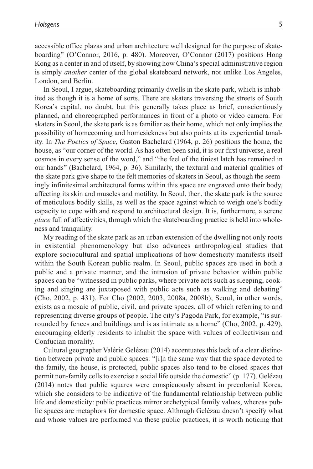accessible office plazas and urban architecture well designed for the purpose of skateboarding" (O'Connor, 2016, p. 480). Moreover, O'Connor (2017) positions Hong Kong as a center in and of itself, by showing how China's special administrative region is simply *another* center of the global skateboard network, not unlike Los Angeles, London, and Berlin.

In Seoul, I argue, skateboarding primarily dwells in the skate park, which is inhabited as though it is a home of sorts. There are skaters traversing the streets of South Korea's capital, no doubt, but this generally takes place as brief, conscientiously planned, and choreographed performances in front of a photo or video camera. For skaters in Seoul, the skate park is as familiar as their home, which not only implies the possibility of homecoming and homesickness but also points at its experiential tonality. In *The Poetics of Space*, Gaston Bachelard (1964, p. 26) positions the home, the house, as "our corner of the world. As has often been said, it is our first universe, a real cosmos in every sense of the word," and "the feel of the tiniest latch has remained in our hands" (Bachelard, 1964, p. 36). Similarly, the textural and material qualities of the skate park give shape to the felt memories of skaters in Seoul, as though the seemingly infinitesimal architectural forms within this space are engraved onto their body, affecting its skin and muscles and motility. In Seoul, then, the skate park is the source of meticulous bodily skills, as well as the space against which to weigh one's bodily capacity to cope with and respond to architectural design. It is, furthermore, a serene *place* full of affectivities, through which the skateboarding practice is held into wholeness and tranquility.

My reading of the skate park as an urban extension of the dwelling not only roots in existential phenomenology but also advances anthropological studies that explore sociocultural and spatial implications of how domesticity manifests itself within the South Korean public realm. In Seoul, public spaces are used in both a public and a private manner, and the intrusion of private behavior within public spaces can be "witnessed in public parks, where private acts such as sleeping, cooking and singing are juxtaposed with public acts such as walking and debating" (Cho, 2002, p. 431). For Cho (2002, 2003, 2008a, 2008b), Seoul, in other words, exists as a mosaic of public, civil, and private spaces, all of which referring to and representing diverse groups of people. The city's Pagoda Park, for example, "is surrounded by fences and buildings and is as intimate as a home" (Cho, 2002, p. 429), encouraging elderly residents to inhabit the space with values of collectivism and Confucian morality.

Cultural geographer Valérie Gelézau (2014) accentuates this lack of a clear distinction between private and public spaces: "[i]n the same way that the space devoted to the family, the house, is protected, public spaces also tend to be closed spaces that permit non-family cells to exercise a social life outside the domestic" (p. 177). Gelézau (2014) notes that public squares were conspicuously absent in precolonial Korea, which she considers to be indicative of the fundamental relationship between public life and domesticity: public practices mirror archetypical family values, whereas public spaces are metaphors for domestic space. Although Gelézau doesn't specify what and whose values are performed via these public practices, it is worth noticing that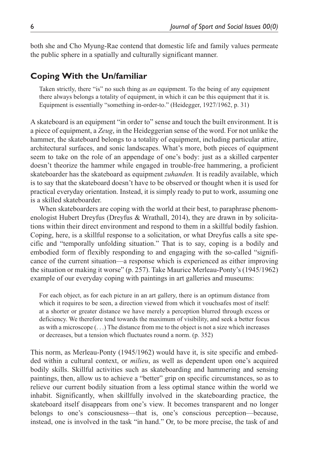both she and Cho Myung-Rae contend that domestic life and family values permeate the public sphere in a spatially and culturally significant manner.

## **Coping With the Un/familiar**

Taken strictly, there "is" no such thing as *an* equipment. To the being of any equipment there always belongs a totality of equipment, in which it can be this equipment that it is. Equipment is essentially "something in-order-to." (Heidegger, 1927/1962, p. 31)

A skateboard is an equipment "in order to" sense and touch the built environment. It is a piece of equipment, a *Zeug*, in the Heideggerian sense of the word. For not unlike the hammer, the skateboard belongs to a totality of equipment, including particular attire, architectural surfaces, and sonic landscapes. What's more, both pieces of equipment seem to take on the role of an appendage of one's body: just as a skilled carpenter doesn't theorize the hammer while engaged in trouble-free hammering, a proficient skateboarder has the skateboard as equipment *zuhanden.* It is readily available, which is to say that the skateboard doesn't have to be observed or thought when it is used for practical everyday orientation. Instead, it is simply ready to put to work, assuming one is a skilled skateboarder.

When skateboarders are coping with the world at their best, to paraphrase phenomenologist Hubert Dreyfus (Dreyfus & Wrathall, 2014), they are drawn in by solicitations within their direct environment and respond to them in a skillful bodily fashion. Coping, here, is a skillful response to a solicitation, or what Dreyfus calls a site specific and "temporally unfolding situation." That is to say, coping is a bodily and embodied form of flexibly responding to and engaging with the so-called "significance of the current situation—a response which is experienced as either improving the situation or making it worse" (p. 257). Take Maurice Merleau-Ponty's (1945/1962) example of our everyday coping with paintings in art galleries and museums:

For each object, as for each picture in an art gallery, there is an optimum distance from which it requires to be seen, a direction viewed from which it vouchsafes most of itself: at a shorter or greater distance we have merely a perception blurred through excess or deficiency. We therefore tend towards the maximum of visibility, and seek a better focus as with a microscope (. . .) The distance from me to the object is not a size which increases or decreases, but a tension which fluctuates round a norm. (p. 352)

This norm, as Merleau-Ponty (1945/1962) would have it, is site specific and embedded within a cultural context, or *milieu*, as well as dependent upon one's acquired bodily skills. Skillful activities such as skateboarding and hammering and sensing paintings, then, allow us to achieve a "better" grip on specific circumstances, so as to relieve our current bodily situation from a less optimal stance within the world we inhabit. Significantly, when skillfully involved in the skateboarding practice, the skateboard itself disappears from one's view. It becomes transparent and no longer belongs to one's consciousness—that is, one's conscious perception—because, instead, one is involved in the task "in hand." Or, to be more precise, the task of and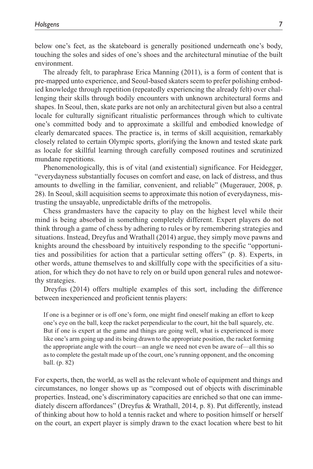below one's feet, as the skateboard is generally positioned underneath one's body, touching the soles and sides of one's shoes and the architectural minutiae of the built environment.

The already felt, to paraphrase Erica Manning (2011), is a form of content that is pre-mapped unto experience, and Seoul-based skaters seem to prefer polishing embodied knowledge through repetition (repeatedly experiencing the already felt) over challenging their skills through bodily encounters with unknown architectural forms and shapes. In Seoul, then, skate parks are not only an architectural given but also a central locale for culturally significant ritualistic performances through which to cultivate one's committed body and to approximate a skillful and embodied knowledge of clearly demarcated spaces. The practice is, in terms of skill acquisition, remarkably closely related to certain Olympic sports, glorifying the known and tested skate park as locale for skillful learning through carefully composed routines and scrutinized mundane repetitions.

Phenomenologically, this is of vital (and existential) significance. For Heidegger, "everydayness substantially focuses on comfort and ease, on lack of distress, and thus amounts to dwelling in the familiar, convenient, and reliable" (Mugerauer, 2008, p. 28). In Seoul, skill acquisition seems to approximate this notion of everydayness, mistrusting the unsayable, unpredictable drifts of the metropolis.

Chess grandmasters have the capacity to play on the highest level while their mind is being absorbed in something completely different. Expert players do not think through a game of chess by adhering to rules or by remembering strategies and situations. Instead, Dreyfus and Wrathall (2014) argue, they simply move pawns and knights around the chessboard by intuitively responding to the specific "opportunities and possibilities for action that a particular setting offers" (p. 8). Experts, in other words, attune themselves to and skillfully cope with the specificities of a situation, for which they do not have to rely on or build upon general rules and noteworthy strategies.

Dreyfus (2014) offers multiple examples of this sort, including the difference between inexperienced and proficient tennis players:

If one is a beginner or is off one's form, one might find oneself making an effort to keep one's eye on the ball, keep the racket perpendicular to the court, hit the ball squarely, etc. But if one is expert at the game and things are going well, what is experienced is more like one's arm going up and its being drawn to the appropriate position, the racket forming the appropriate angle with the court—an angle we need not even be aware of—all this so as to complete the gestalt made up of the court, one's running opponent, and the oncoming ball. (p. 82)

For experts, then, the world, as well as the relevant whole of equipment and things and circumstances, no longer shows up as "composed out of objects with discriminable properties. Instead, one's discriminatory capacities are enriched so that one can immediately discern affordances" (Dreyfus & Wrathall, 2014, p. 8). Put differently, instead of thinking about how to hold a tennis racket and where to position himself or herself on the court, an expert player is simply drawn to the exact location where best to hit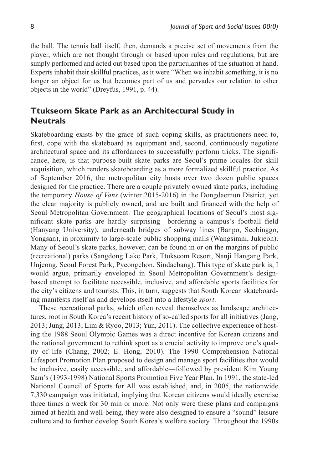the ball. The tennis ball itself, then, demands a precise set of movements from the player, which are not thought through or based upon rules and regulations, but are simply performed and acted out based upon the particularities of the situation at hand. Experts inhabit their skillful practices, as it were "When we inhabit something, it is no longer an object for us but becomes part of us and pervades our relation to other objects in the world" (Dreyfus, 1991, p. 44).

# **Ttukseom Skate Park as an Architectural Study in Neutrals**

Skateboarding exists by the grace of such coping skills, as practitioners need to, first, cope with the skateboard as equipment and, second, continuously negotiate architectural space and its affordances to successfully perform tricks. The significance, here, is that purpose-built skate parks are Seoul's prime locales for skill acquisition, which renders skateboarding as a more formalized skillful practice. As of September 2016, the metropolitan city hosts over two dozen public spaces designed for the practice. There are a couple privately owned skate parks, including the temporary *House of Vans* (winter 2015-2016) in the Dongdaemun District, yet the clear majority is publicly owned, and are built and financed with the help of Seoul Metropolitan Government. The geographical locations of Seoul's most significant skate parks are hardly surprising—bordering a campus's football field (Hanyang University), underneath bridges of subway lines (Banpo, Seobinggo, Yongsan), in proximity to large-scale public shopping malls (Wangsimni, Jukjeon). Many of Seoul's skate parks, however, can be found in or on the margins of public (recreational) parks (Sangdong Lake Park, Ttukseom Resort, Nanji Hangang Park, Unjeong, Seoul Forest Park, Pyeongchon, Sindaebang). This type of skate park is, I would argue, primarily enveloped in Seoul Metropolitan Government's designbased attempt to facilitate accessible, inclusive, and affordable sports facilities for the city's citizens and tourists. This, in turn, suggests that South Korean skateboarding manifests itself as and develops itself into a lifestyle *sport*.

These recreational parks, which often reveal themselves as landscape architectures, root in South Korea's recent history of so-called sports for all initiatives (Jang, 2013; Jung, 2013; Lim & Ryoo, 2013; Yun, 2011). The collective experience of hosting the 1988 Seoul Olympic Games was a direct incentive for Korean citizens and the national government to rethink sport as a crucial activity to improve one's quality of life (Chang, 2002; E. Hong, 2010). The 1990 Comprehension National Lifesport Promotion Plan proposed to design and manage sport facilities that would be inclusive, easily accessible, and affordable―followed by president Kim Young Sam's (1993-1998) National Sports Promotion Five Year Plan. In 1991, the state-led National Council of Sports for All was established, and, in 2005, the nationwide 7,330 campaign was initiated, implying that Korean citizens would ideally exercise three times a week for 30 min or more. Not only were these plans and campaigns aimed at health and well-being, they were also designed to ensure a "sound" leisure culture and to further develop South Korea's welfare society. Throughout the 1990s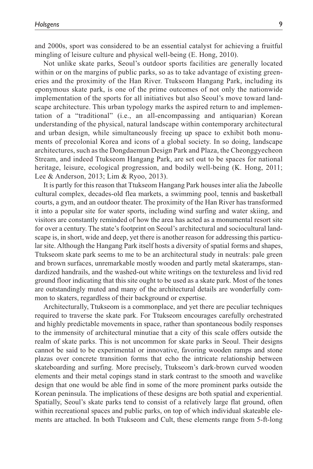and 2000s, sport was considered to be an essential catalyst for achieving a fruitful mingling of leisure culture and physical well-being (E. Hong, 2010).

Not unlike skate parks, Seoul's outdoor sports facilities are generally located within or on the margins of public parks, so as to take advantage of existing greeneries and the proximity of the Han River. Ttukseom Hangang Park, including its eponymous skate park, is one of the prime outcomes of not only the nationwide implementation of the sports for all initiatives but also Seoul's move toward landscape architecture. This urban typology marks the aspired return to and implementation of a "traditional" (i.e., an all-encompassing and antiquarian) Korean understanding of the physical, natural landscape within contemporary architectural and urban design, while simultaneously freeing up space to exhibit both monuments of precolonial Korea and icons of a global society. In so doing, landscape architectures, such as the Dongdaemun Design Park and Plaza, the Cheonggyecheon Stream, and indeed Ttukseom Hangang Park, are set out to be spaces for national heritage, leisure, ecological progression, and bodily well-being (K. Hong, 2011; Lee & Anderson, 2013; Lim & Ryoo, 2013).

It is partly for this reason that Ttukseom Hangang Park houses inter alia the Jabeolle cultural complex, decades-old flea markets, a swimming pool, tennis and basketball courts, a gym, and an outdoor theater. The proximity of the Han River has transformed it into a popular site for water sports, including wind surfing and water skiing, and visitors are constantly reminded of how the area has acted as a monumental resort site for over a century. The state's footprint on Seoul's architectural and sociocultural landscape is, in short, wide and deep, yet there is another reason for addressing this particular site. Although the Hangang Park itself hosts a diversity of spatial forms and shapes, Ttukseom skate park seems to me to be an architectural study in neutrals: pale green and brown surfaces, unremarkable mostly wooden and partly metal skateramps, standardized handrails, and the washed-out white writings on the textureless and livid red ground floor indicating that this site ought to be used as a skate park. Most of the tones are outstandingly muted and many of the architectural details are wonderfully common to skaters, regardless of their background or expertise.

Architecturally, Ttukseom is a commonplace, and yet there are peculiar techniques required to traverse the skate park. For Ttukseom encourages carefully orchestrated and highly predictable movements in space, rather than spontaneous bodily responses to the immensity of architectural minutiae that a city of this scale offers outside the realm of skate parks. This is not uncommon for skate parks in Seoul. Their designs cannot be said to be experimental or innovative, favoring wooden ramps and stone plazas over concrete transition forms that echo the intricate relationship between skateboarding and surfing. More precisely, Ttukseom's dark-brown curved wooden elements and their metal copings stand in stark contrast to the smooth and wavelike design that one would be able find in some of the more prominent parks outside the Korean peninsula. The implications of these designs are both spatial and experiential. Spatially, Seoul's skate parks tend to consist of a relatively large flat ground, often within recreational spaces and public parks, on top of which individual skateable elements are attached. In both Ttukseom and Cult, these elements range from 5-ft-long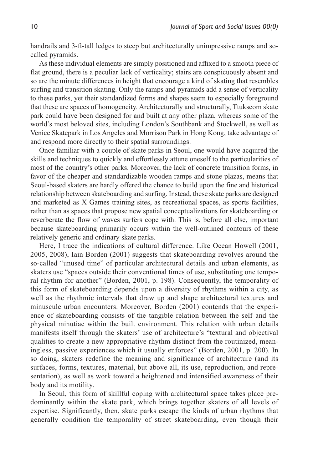handrails and 3-ft-tall ledges to steep but architecturally unimpressive ramps and socalled pyramids.

As these individual elements are simply positioned and affixed to a smooth piece of flat ground, there is a peculiar lack of verticality; stairs are conspicuously absent and so are the minute differences in height that encourage a kind of skating that resembles surfing and transition skating. Only the ramps and pyramids add a sense of verticality to these parks, yet their standardized forms and shapes seem to especially foreground that these are spaces of homogeneity. Architecturally and structurally, Ttukseom skate park could have been designed for and built at any other plaza, whereas some of the world's most beloved sites, including London's Southbank and Stockwell, as well as Venice Skatepark in Los Angeles and Morrison Park in Hong Kong, take advantage of and respond more directly to their spatial surroundings.

Once familiar with a couple of skate parks in Seoul, one would have acquired the skills and techniques to quickly and effortlessly attune oneself to the particularities of most of the country's other parks. Moreover, the lack of concrete transition forms, in favor of the cheaper and standardizable wooden ramps and stone plazas, means that Seoul-based skaters are hardly offered the chance to build upon the fine and historical relationship between skateboarding and surfing. Instead, these skate parks are designed and marketed as X Games training sites, as recreational spaces, as sports facilities, rather than as spaces that propose new spatial conceptualizations for skateboarding or reverberate the flow of waves surfers cope with. This is, before all else, important because skateboarding primarily occurs within the well-outlined contours of these relatively generic and ordinary skate parks.

Here, I trace the indications of cultural difference. Like Ocean Howell (2001, 2005, 2008), Iain Borden (2001) suggests that skateboarding revolves around the so-called "unused time" of particular architectural details and urban elements, as skaters use "spaces outside their conventional times of use, substituting one temporal rhythm for another" (Borden, 2001, p. 198). Consequently, the temporality of this form of skateboarding depends upon a diversity of rhythms within a city, as well as the rhythmic intervals that draw up and shape architectural textures and minuscule urban encounters. Moreover, Borden (2001) contends that the experience of skateboarding consists of the tangible relation between the self and the physical minutiae within the built environment. This relation with urban details manifests itself through the skaters' use of architecture's "textural and objectival qualities to create a new appropriative rhythm distinct from the routinized, meaningless, passive experiences which it usually enforces" (Borden, 2001, p. 200). In so doing, skaters redefine the meaning and significance of architecture (and its surfaces, forms, textures, material, but above all, its use, reproduction, and representation), as well as work toward a heightened and intensified awareness of their body and its motility.

In Seoul, this form of skillful coping with architectural space takes place predominantly within the skate park, which brings together skaters of all levels of expertise. Significantly, then, skate parks escape the kinds of urban rhythms that generally condition the temporality of street skateboarding, even though their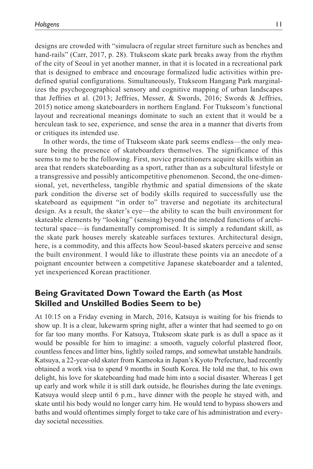designs are crowded with "simulacra of regular street furniture such as benches and hand-rails" (Carr, 2017, p. 28). Ttukseom skate park breaks away from the rhythm of the city of Seoul in yet another manner, in that it is located in a recreational park that is designed to embrace and encourage formalized ludic activities within predefined spatial configurations. Simultaneously, Ttukseom Hangang Park marginalizes the psychogeographical sensory and cognitive mapping of urban landscapes that Jeffries et al. (2013; Jeffries, Messer, & Swords, 2016; Swords & Jeffries, 2015) notice among skateboarders in northern England. For Ttukseom's functional layout and recreational meanings dominate to such an extent that it would be a herculean task to see, experience, and sense the area in a manner that diverts from or critiques its intended use.

In other words, the time of Ttukseom skate park seems endless—the only measure being the presence of skateboarders themselves. The significance of this seems to me to be the following. First, novice practitioners acquire skills within an area that renders skateboarding as a sport, rather than as a subcultural lifestyle or a transgressive and possibly anticompetitive phenomenon. Second, the one-dimensional, yet, nevertheless, tangible rhythmic and spatial dimensions of the skate park condition the diverse set of bodily skills required to successfully use the skateboard as equipment "in order to" traverse and negotiate its architectural design. As a result, the skater's eye—the ability to scan the built environment for skateable elements by "looking" (sensing) beyond the intended functions of architectural space—is fundamentally compromised. It is simply a redundant skill, as the skate park houses merely skateable surfaces textures. Architectural design, here, is a commodity, and this affects how Seoul-based skaters perceive and sense the built environment. I would like to illustrate these points via an anecdote of a poignant encounter between a competitive Japanese skateboarder and a talented, yet inexperienced Korean practitioner.

# **Being Gravitated Down Toward the Earth (as Most Skilled and Unskilled Bodies Seem to be)**

At 10:15 on a Friday evening in March, 2016, Katsuya is waiting for his friends to show up. It is a clear, lukewarm spring night, after a winter that had seemed to go on for far too many months. For Katsuya, Ttukseom skate park is as dull a space as it would be possible for him to imagine: a smooth, vaguely colorful plastered floor, countless fences and litter bins, lightly soiled ramps, and somewhat unstable handrails. Katsuya, a 22-year-old skater from Kameoka in Japan's Kyoto Prefecture, had recently obtained a work visa to spend 9 months in South Korea. He told me that, to his own delight, his love for skateboarding had made him into a social disaster. Whereas I get up early and work while it is still dark outside, he flourishes during the late evenings. Katsuya would sleep until 6 p.m., have dinner with the people he stayed with, and skate until his body would no longer carry him. He would tend to bypass showers and baths and would oftentimes simply forget to take care of his administration and everyday societal necessities.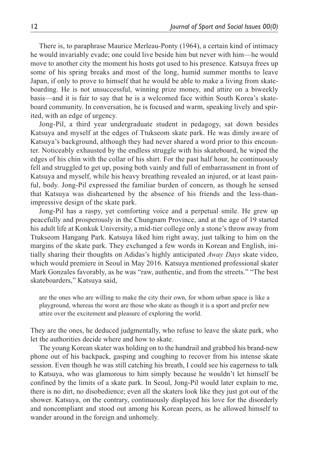There is, to paraphrase Maurice Merleau-Ponty (1964), a certain kind of intimacy he would invariably evade; one could live beside him but never with him—he would move to another city the moment his hosts got used to his presence. Katsuya frees up some of his spring breaks and most of the long, humid summer months to leave Japan, if only to prove to himself that he would be able to make a living from skateboarding. He is not unsuccessful, winning prize money, and attire on a biweekly basis—and it is fair to say that he is a welcomed face within South Korea's skateboard community. In conversation, he is focused and warm, speaking lively and spirited, with an edge of urgency.

Jong-Pil, a third year undergraduate student in pedagogy, sat down besides Katsuya and myself at the edges of Ttukseom skate park. He was dimly aware of Katsuya's background, although they had never shared a word prior to this encounter. Noticeably exhausted by the endless struggle with his skateboard, he wiped the edges of his chin with the collar of his shirt. For the past half hour, he continuously fell and struggled to get up, posing both vainly and full of embarrassment in front of Katsuya and myself, while his heavy breathing revealed an injured, or at least painful, body. Jong-Pil expressed the familiar burden of concern, as though he sensed that Katsuya was disheartened by the absence of his friends and the less-thanimpressive design of the skate park.

Jong-Pil has a raspy, yet comforting voice and a perpetual smile. He grew up peacefully and prosperously in the Chungnam Province, and at the age of 19 started his adult life at Konkuk University, a mid-tier college only a stone's throw away from Ttukseom Hangang Park. Katsuya liked him right away, just talking to him on the margins of the skate park. They exchanged a few words in Korean and English, initially sharing their thoughts on Adidas's highly anticipated *Away Days* skate video, which would premiere in Seoul in May 2016. Katsuya mentioned professional skater Mark Gonzales favorably, as he was "raw, authentic, and from the streets." "The best skateboarders," Katsuya said,

are the ones who are willing to make the city their own, for whom urban space is like a playground, whereas the worst are those who skate as though it is a sport and prefer new attire over the excitement and pleasure of exploring the world.

They are the ones, he deduced judgmentally, who refuse to leave the skate park, who let the authorities decide where and how to skate.

The young Korean skater was holding on to the handrail and grabbed his brand-new phone out of his backpack, gasping and coughing to recover from his intense skate session. Even though he was still catching his breath, I could see his eagerness to talk to Katsuya, who was glamorous to him simply because he wouldn't let himself be confined by the limits of a skate park. In Seoul, Jong-Pil would later explain to me, there is no dirt, no disobedience; even all the skaters look like they just got out of the shower. Katsuya, on the contrary, continuously displayed his love for the disorderly and noncompliant and stood out among his Korean peers, as he allowed himself to wander around in the foreign and unhomely.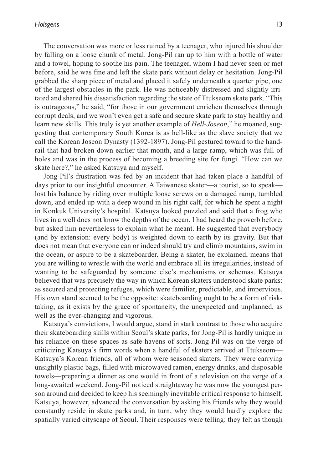The conversation was more or less ruined by a teenager, who injured his shoulder by falling on a loose chunk of metal. Jong-Pil ran up to him with a bottle of water and a towel, hoping to soothe his pain. The teenager, whom I had never seen or met before, said he was fine and left the skate park without delay or hesitation. Jong-Pil grabbed the sharp piece of metal and placed it safely underneath a quarter pipe, one of the largest obstacles in the park. He was noticeably distressed and slightly irritated and shared his dissatisfaction regarding the state of Ttukseom skate park. "This is outrageous," he said, "for those in our government enrichen themselves through corrupt deals, and we won't even get a safe and secure skate park to stay healthy and learn new skills. This truly is yet another example of *Hell-Joseon*," he moaned, suggesting that contemporary South Korea is as hell-like as the slave society that we call the Korean Joseon Dynasty (1392-1897). Jong-Pil gestured toward to the handrail that had broken down earlier that month, and a large ramp, which was full of holes and was in the process of becoming a breeding site for fungi. "How can we skate here?," he asked Katsuya and myself.

Jong-Pil's frustration was fed by an incident that had taken place a handful of days prior to our insightful encounter. A Taiwanese skater—a tourist, so to speak lost his balance by riding over multiple loose screws on a damaged ramp, tumbled down, and ended up with a deep wound in his right calf, for which he spent a night in Konkuk University's hospital. Katsuya looked puzzled and said that a frog who lives in a well does not know the depths of the ocean. I had heard the proverb before, but asked him nevertheless to explain what he meant. He suggested that everybody (and by extension: every body) is weighted down to earth by its gravity. But that does not mean that everyone can or indeed should try and climb mountains, swim in the ocean, or aspire to be a skateboarder. Being a skater, he explained, means that you are willing to wrestle with the world and embrace all its irregularities, instead of wanting to be safeguarded by someone else's mechanisms or schemas. Katsuya believed that was precisely the way in which Korean skaters understood skate parks: as secured and protecting refuges, which were familiar, predictable, and impervious. His own stand seemed to be the opposite: skateboarding ought to be a form of risktaking, as it exists by the grace of spontaneity, the unexpected and unplanned, as well as the ever-changing and vigorous.

Katsuya's convictions, I would argue, stand in stark contrast to those who acquire their skateboarding skills within Seoul's skate parks, for Jong-Pil is hardly unique in his reliance on these spaces as safe havens of sorts. Jong-Pil was on the verge of criticizing Katsuya's firm words when a handful of skaters arrived at Ttukseom— Katsuya's Korean friends, all of whom were seasoned skaters. They were carrying unsightly plastic bags, filled with microwaved ramen, energy drinks, and disposable towels—preparing a dinner as one would in front of a television on the verge of a long-awaited weekend. Jong-Pil noticed straightaway he was now the youngest person around and decided to keep his seemingly inevitable critical response to himself. Katsuya, however, advanced the conversation by asking his friends why they would constantly reside in skate parks and, in turn, why they would hardly explore the spatially varied cityscape of Seoul. Their responses were telling: they felt as though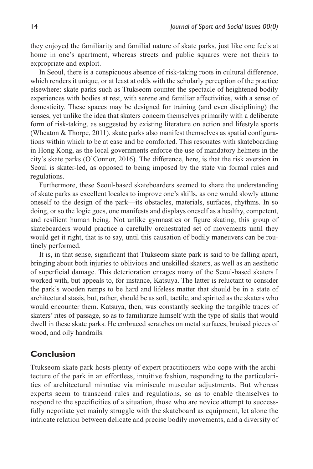they enjoyed the familiarity and familial nature of skate parks, just like one feels at home in one's apartment, whereas streets and public squares were not theirs to expropriate and exploit.

In Seoul, there is a conspicuous absence of risk-taking roots in cultural difference, which renders it unique, or at least at odds with the scholarly perception of the practice elsewhere: skate parks such as Ttukseom counter the spectacle of heightened bodily experiences with bodies at rest, with serene and familiar affectivities, with a sense of domesticity. These spaces may be designed for training (and even disciplining) the senses, yet unlike the idea that skaters concern themselves primarily with a deliberate form of risk-taking, as suggested by existing literature on action and lifestyle sports (Wheaton & Thorpe, 2011), skate parks also manifest themselves as spatial configurations within which to be at ease and be comforted. This resonates with skateboarding in Hong Kong, as the local governments enforce the use of mandatory helmets in the city's skate parks (O'Connor, 2016). The difference, here, is that the risk aversion in Seoul is skater-led, as opposed to being imposed by the state via formal rules and regulations.

Furthermore, these Seoul-based skateboarders seemed to share the understanding of skate parks as excellent locales to improve one's skills, as one would slowly attune oneself to the design of the park—its obstacles, materials, surfaces, rhythms. In so doing, or so the logic goes, one manifests and displays oneself as a healthy, competent, and resilient human being. Not unlike gymnastics or figure skating, this group of skateboarders would practice a carefully orchestrated set of movements until they would get it right, that is to say, until this causation of bodily maneuvers can be routinely performed.

It is, in that sense, significant that Ttukseom skate park is said to be falling apart, bringing about both injuries to oblivious and unskilled skaters, as well as an aesthetic of superficial damage. This deterioration enrages many of the Seoul-based skaters I worked with, but appeals to, for instance, Katsuya. The latter is reluctant to consider the park's wooden ramps to be hard and lifeless matter that should be in a state of architectural stasis, but, rather, should be as soft, tactile, and spirited as the skaters who would encounter them. Katsuya, then, was constantly seeking the tangible traces of skaters' rites of passage, so as to familiarize himself with the type of skills that would dwell in these skate parks. He embraced scratches on metal surfaces, bruised pieces of wood, and oily handrails.

## **Conclusion**

Ttukseom skate park hosts plenty of expert practitioners who cope with the architecture of the park in an effortless, intuitive fashion, responding to the particularities of architectural minutiae via miniscule muscular adjustments. But whereas experts seem to transcend rules and regulations, so as to enable themselves to respond to the specificities of a situation, those who are novice attempt to successfully negotiate yet mainly struggle with the skateboard as equipment, let alone the intricate relation between delicate and precise bodily movements, and a diversity of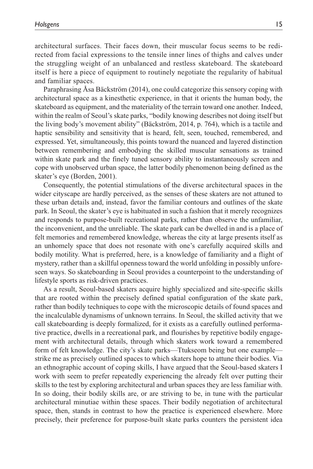architectural surfaces. Their faces down, their muscular focus seems to be redirected from facial expressions to the tensile inner lines of thighs and calves under the struggling weight of an unbalanced and restless skateboard. The skateboard itself is here a piece of equipment to routinely negotiate the regularity of habitual and familiar spaces.

Paraphrasing Åsa Bäckström (2014), one could categorize this sensory coping with architectural space as a kinesthetic experience, in that it orients the human body, the skateboard as equipment, and the materiality of the terrain toward one another. Indeed, within the realm of Seoul's skate parks, "bodily knowing describes not doing itself but the living body's movement ability" (Bäckström, 2014, p. 764), which is a tactile and haptic sensibility and sensitivity that is heard, felt, seen, touched, remembered, and expressed. Yet, simultaneously, this points toward the nuanced and layered distinction between remembering and embodying the skilled muscular sensations as trained within skate park and the finely tuned sensory ability to instantaneously screen and cope with unobserved urban space, the latter bodily phenomenon being defined as the skater's eye (Borden, 2001).

Consequently, the potential stimulations of the diverse architectural spaces in the wider cityscape are hardly perceived, as the senses of these skaters are not attuned to these urban details and, instead, favor the familiar contours and outlines of the skate park. In Seoul, the skater's eye is habituated in such a fashion that it merely recognizes and responds to purpose-built recreational parks, rather than observe the unfamiliar, the inconvenient, and the unreliable. The skate park can be dwelled in and is a place of felt memories and remembered knowledge, whereas the city at large presents itself as an unhomely space that does not resonate with one's carefully acquired skills and bodily motility. What is preferred, here, is a knowledge of familiarity and a flight of mystery, rather than a skillful openness toward the world unfolding in possibly unforeseen ways. So skateboarding in Seoul provides a counterpoint to the understanding of lifestyle sports as risk-driven practices.

As a result, Seoul-based skaters acquire highly specialized and site-specific skills that are rooted within the precisely defined spatial configuration of the skate park, rather than bodily techniques to cope with the microscopic details of found spaces and the incalculable dynamisms of unknown terrains. In Seoul, the skilled activity that we call skateboarding is deeply formalized, for it exists as a carefully outlined performative practice, dwells in a recreational park, and flourishes by repetitive bodily engagement with architectural details, through which skaters work toward a remembered form of felt knowledge. The city's skate parks—Ttukseom being but one example strike me as precisely outlined spaces to which skaters hope to attune their bodies. Via an ethnographic account of coping skills, I have argued that the Seoul-based skaters I work with seem to prefer repeatedly experiencing the already felt over putting their skills to the test by exploring architectural and urban spaces they are less familiar with. In so doing, their bodily skills are, or are striving to be, in tune with the particular architectural minutiae within these spaces. Their bodily negotiation of architectural space, then, stands in contrast to how the practice is experienced elsewhere. More precisely, their preference for purpose-built skate parks counters the persistent idea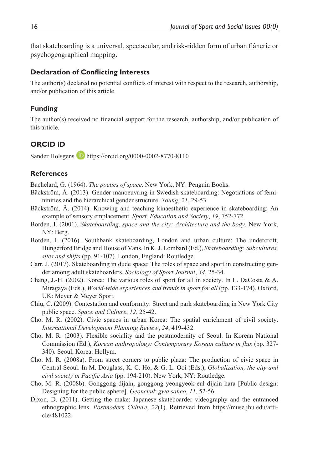that skateboarding is a universal, spectacular, and risk-ridden form of urban flânerie or psychogeographical mapping.

### **Declaration of Conflicting Interests**

The author(s) declared no potential conflicts of interest with respect to the research, authorship, and/or publication of this article.

## **Funding**

The author(s) received no financial support for the research, authorship, and/or publication of this article.

## **ORCID iD**

Sander Holsgens **D** <https://orcid.org/0000-0002-8770-8110>

### **References**

Bachelard, G. (1964). *The poetics of space*. New York, NY: Penguin Books.

- Bäckström, Å. (2013). Gender manoeuvring in Swedish skateboarding: Negotiations of femininities and the hierarchical gender structure. *Young*, *21*, 29-53.
- Bäckström, Å. (2014). Knowing and teaching kinaesthetic experience in skateboarding: An example of sensory emplacement. *Sport, Education and Society*, *19*, 752-772.
- Borden, I. (2001). *Skateboarding, space and the city: Architecture and the body*. New York, NY: Berg.
- Borden, I. (2016). Southbank skateboarding, London and urban culture: The undercroft, Hungerford Bridge and House of Vans. In K. J. Lombard (Ed.), *Skateboarding: Subcultures, sites and shifts* (pp. 91-107). London, England: Routledge.
- Carr, J. (2017). Skateboarding in dude space: The roles of space and sport in constructing gender among adult skateboarders. *Sociology of Sport Journal*, *34*, 25-34.
- Chang, J.-H. (2002). Korea: The various roles of sport for all in society. In L. DaCosta & A. Miragaya (Eds.), *World-wide experiences and trends in sport for all* (pp. 133-174). Oxford, UK: Meyer & Meyer Sport.
- Chiu, C. (2009). Contestation and conformity: Street and park skateboarding in New York City public space. *Space and Culture*, *12*, 25-42.
- Cho, M. R. (2002). Civic spaces in urban Korea: The spatial enrichment of civil society. *International Development Planning Review*, *24*, 419-432.
- Cho, M. R. (2003). Flexible sociality and the postmodernity of Seoul. In Korean National Commission (Ed.), *Korean anthropology: Contemporary Korean culture in flux* (pp. 327- 340). Seoul, Korea: Hollym.
- Cho, M. R. (2008a). From street corners to public plaza: The production of civic space in Central Seoul. In M. Douglass, K. C. Ho, & G. L. Ooi (Eds.), *Globalization, the city and civil society in Pacific Asia* (pp. 194-210). New York, NY: Routledge.
- Cho, M. R. (2008b). Gonggong dijain, gonggong yeongyeok-eul dijain hara [Public design: Designing for the public sphere]. *Geonchuk-gwa saheo*, *11*, 52-56.
- Dixon, D. (2011). Getting the make: Japanese skateboarder videography and the entranced ethnographic lens. *Postmodern Culture*, *22*(1). Retrieved from [https://muse.jhu.edu/arti](https://muse.jhu.edu/article/481022)[cle/481022](https://muse.jhu.edu/article/481022)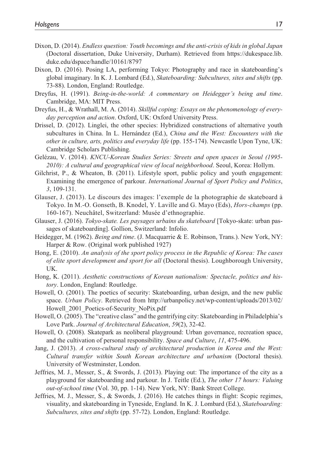- Dixon, D. (2014). *Endless question: Youth becomings and the anti-crisis of kids in global Japan* (Doctoral dissertation, Duke University, Durham). Retrieved from [https://dukespace.lib.](https://dukespace.lib.duke.edu/dspace/handle/10161/8797) [duke.edu/dspace/handle/10161/8797](https://dukespace.lib.duke.edu/dspace/handle/10161/8797)
- Dixon, D. (2016). Posing LA, performing Tokyo: Photography and race in skateboarding's global imaginary. In K. J. Lombard (Ed.), *Skateboarding: Subcultures, sites and shifts* (pp. 73-88). London, England: Routledge.
- Dreyfus, H. (1991). *Being-in-the-world: A commentary on Heidegger's being and time*. Cambridge, MA: MIT Press.
- Dreyfus, H., & Wrathall, M. A. (2014). *Skillful coping: Essays on the phenomenology of everyday perception and action*. Oxford, UK: Oxford University Press.
- Drissel, D. (2012). Linglei, the other species: Hybridized constructions of alternative youth subcultures in China. In L. Hernández (Ed.), *China and the West: Encounters with the other in culture, arts, politics and everyday life* (pp. 155-174). Newcastle Upon Tyne, UK: Cambridge Scholars Publishing.
- Gelézau, V. (2014). *KNCU-Korean Studies Series: Streets and open spaces in Seoul (1995- 2010): A cultural and geographical view of local neighborhood*. Seoul, Korea: Hollym.
- Gilchrist, P., & Wheaton, B. (2011). Lifestyle sport, public policy and youth engagement: Examining the emergence of parkour. *International Journal of Sport Policy and Politics*, *3*, 109-131.
- Glauser, J. (2013). Le discours des images: l'exemple de la photographie de skateboard à Tokyo. In M.-O. Gonseth, B. Knodel, Y. Laville and G. Mayo (Eds), *Hors-champs* (pp. 160-167). Neuchâtel, Switzerland: Musée d'ethnographie.
- Glauser, J. (2016). *Tokyo-skate. Les paysages urbains du skateboard* [Tokyo-skate: urban passages of skateboarding]. Gollion, Switzerland: Infolio.
- Heidegger, M. (1962). *Being and time*. (J. Macquarrie & E. Robinson, Trans.). New York, NY: Harper & Row. (Original work published 1927)
- Hong, E. (2010). *An analysis of the sport policy process in the Republic of Korea: The cases of elite sport development and sport for all* (Doctoral thesis). Loughborough University, UK.
- Hong, K. (2011). *Aesthetic constructions of Korean nationalism: Spectacle, politics and history*. London, England: Routledge.
- Howell, O. (2001). The poetics of security: Skateboarding, urban design, and the new public space. *Urban Policy*. Retrieved from [http://urbanpolicy.net/wp-content/uploads/2013/02/](http://urbanpolicy.net/wp-content/uploads/2013/02/Howell_2001_Poetics-of-Security_NoPix.pdf) [Howell\\_2001\\_Poetics-of-Security\\_NoPix.pdf](http://urbanpolicy.net/wp-content/uploads/2013/02/Howell_2001_Poetics-of-Security_NoPix.pdf)
- Howell, O. (2005). The "creative class" and the gentrifying city: Skateboarding in Philadelphia's Love Park. *Journal of Architectural Education*, *59*(2), 32-42.
- Howell, O. (2008). Skatepark as neoliberal playground: Urban governance, recreation space, and the cultivation of personal responsibility. *Space and Culture*, *11*, 475-496.
- Jang, J. (2013). *A cross-cultural study of architectural production in Korea and the West: Cultural transfer within South Korean architecture and urbanism* (Doctoral thesis). University of Westminster, London.
- Jeffries, M. J., Messer, S., & Swords, J. (2013). Playing out: The importance of the city as a playground for skateboarding and parkour. In J. Teitle (Ed.), *The other 17 hours: Valuing out-of-school time* (Vol. 30, pp. 1-14). New York, NY: Bank Street College.
- Jeffries, M. J., Messer, S., & Swords, J. (2016). He catches things in flight: Scopic regimes, visuality, and skateboarding in Tyneside, England. In K. J. Lombard (Ed.), *Skateboarding: Subcultures, sites and shifts* (pp. 57-72). London, England: Routledge.